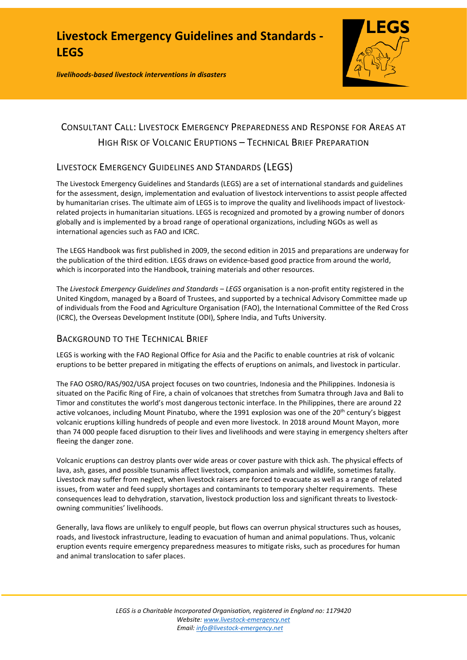*livelihoods-based livestock interventions in disasters*



# CONSULTANT CALL: LIVESTOCK EMERGENCY PREPAREDNESS AND RESPONSE FOR AREAS AT HIGH RISK OF VOLCANIC ERUPTIONS – TECHNICAL BRIEF PREPARATION

## LIVESTOCK EMERGENCY GUIDELINES AND STANDARDS (LEGS)

The Livestock Emergency Guidelines and Standards (LEGS) are a set of international standards and guidelines for the assessment, design, implementation and evaluation of livestock interventions to assist people affected by humanitarian crises. The ultimate aim of LEGS is to improve the quality and livelihoods impact of livestockrelated projects in humanitarian situations. LEGS is recognized and promoted by a growing number of donors globally and is implemented by a broad range of operational organizations, including NGOs as well as international agencies such as FAO and ICRC.

The LEGS Handbook was first published in 2009, the second edition in 2015 and preparations are underway for the publication of the third edition. LEGS draws on evidence-based good practice from around the world, which is incorporated into the Handbook, training materials and other resources.

The *Livestock Emergency Guidelines and Standards – LEGS* organisation is a non-profit entity registered in the United Kingdom, managed by a Board of Trustees, and supported by a technical Advisory Committee made up of individuals from the Food and Agriculture Organisation (FAO), the International Committee of the Red Cross (ICRC), the Overseas Development Institute (ODI), Sphere India, and Tufts University.

## BACKGROUND TO THE TECHNICAL BRIEF

LEGS is working with the FAO Regional Office for Asia and the Pacific to enable countries at risk of volcanic eruptions to be better prepared in mitigating the effects of eruptions on animals, and livestock in particular.

The FAO OSRO/RAS/902/USA project focuses on two countries, Indonesia and the Philippines. Indonesia is situated on the Pacific Ring of Fire, a chain of volcanoes that stretches from Sumatra through Java and Bali to Timor and constitutes the world's most dangerous tectonic interface. In the Philippines, there are around 22 active volcanoes, including Mount Pinatubo, where the 1991 explosion was one of the 20<sup>th</sup> century's biggest volcanic eruptions killing hundreds of people and even more livestock. In 2018 around Mount Mayon, more than 74 000 people faced disruption to their lives and livelihoods and were staying in emergency shelters after fleeing the danger zone.

Volcanic eruptions can destroy plants over wide areas or cover pasture with thick ash. The physical effects of lava, ash, gases, and possible tsunamis affect livestock, companion animals and wildlife, sometimes fatally. Livestock may suffer from neglect, when livestock raisers are forced to evacuate as well as a range of related issues, from water and feed supply shortages and contaminants to temporary shelter requirements. These consequences lead to dehydration, starvation, livestock production loss and significant threats to livestockowning communities' livelihoods.

Generally, lava flows are unlikely to engulf people, but flows can overrun physical structures such as houses, roads, and livestock infrastructure, leading to evacuation of human and animal populations. Thus, volcanic eruption events require emergency preparedness measures to mitigate risks, such as procedures for human and animal translocation to safer places.